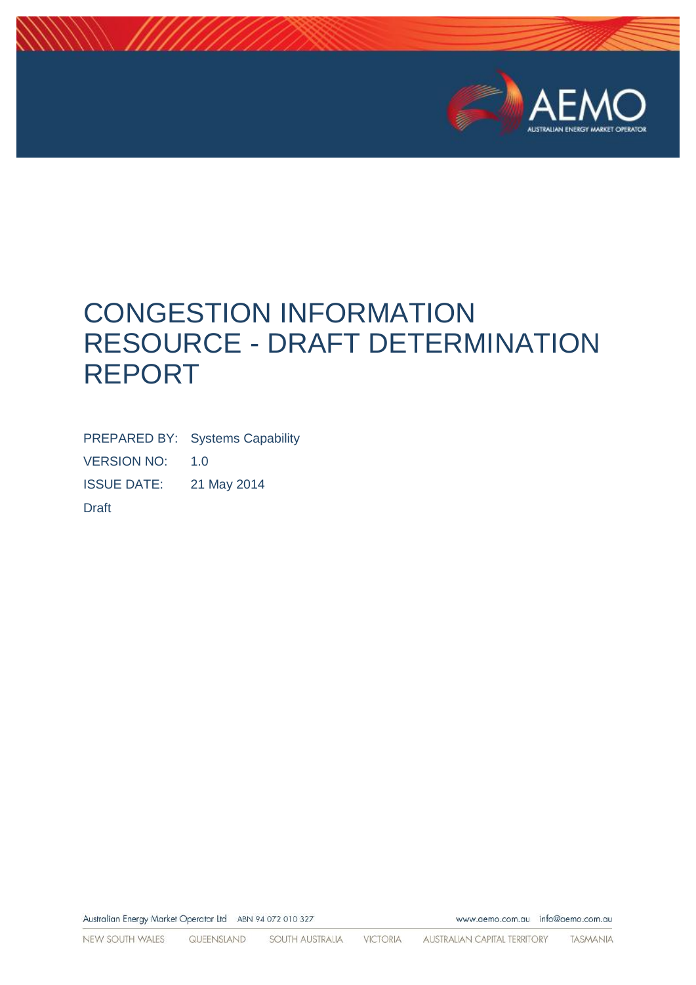

# CONGESTION INFORMATION RESOURCE - DRAFT DETERMINATION REPORT

PREPARED BY: Systems Capability VERSION NO: 1.0 ISSUE DATE: 21 May 2014 Draft

Australian Energy Market Operator Ltd ABN 94 072 010 327

www.aemo.com.au info@aemo.com.au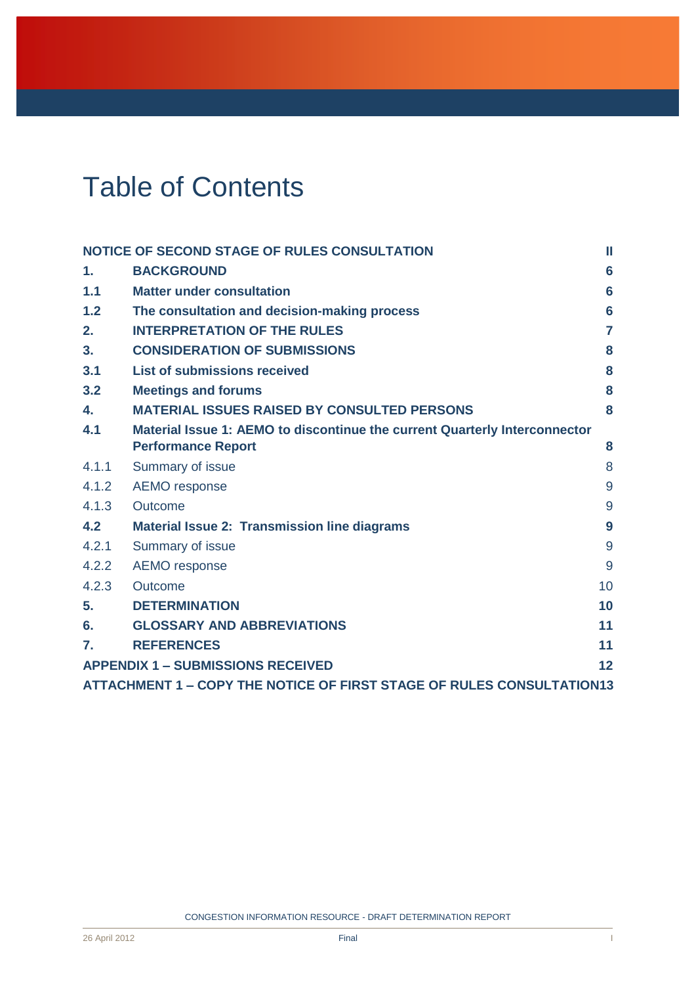# Table of Contents

|                                                                       | NOTICE OF SECOND STAGE OF RULES CONSULTATION<br>Ш                          |                 |  |  |
|-----------------------------------------------------------------------|----------------------------------------------------------------------------|-----------------|--|--|
| $\mathbf 1$ .                                                         | <b>BACKGROUND</b>                                                          | 6               |  |  |
| 1.1                                                                   | <b>Matter under consultation</b>                                           | $6\phantom{1}6$ |  |  |
| 1.2                                                                   | The consultation and decision-making process                               | $6\phantom{1}6$ |  |  |
| 2.                                                                    | <b>INTERPRETATION OF THE RULES</b>                                         | $\overline{7}$  |  |  |
| 3.                                                                    | <b>CONSIDERATION OF SUBMISSIONS</b>                                        | 8               |  |  |
| 3.1                                                                   | <b>List of submissions received</b>                                        | 8               |  |  |
| 3.2                                                                   | <b>Meetings and forums</b>                                                 | 8               |  |  |
| 4.                                                                    | <b>MATERIAL ISSUES RAISED BY CONSULTED PERSONS</b>                         | 8               |  |  |
| 4.1                                                                   | Material Issue 1: AEMO to discontinue the current Quarterly Interconnector |                 |  |  |
|                                                                       | <b>Performance Report</b>                                                  | 8               |  |  |
| 4.1.1                                                                 | Summary of issue                                                           | 8               |  |  |
| 4.1.2                                                                 | AEMO response                                                              | 9               |  |  |
| 4.1.3                                                                 | Outcome                                                                    | 9               |  |  |
| 4.2                                                                   | <b>Material Issue 2: Transmission line diagrams</b>                        | 9               |  |  |
| 4.2.1                                                                 | Summary of issue                                                           | 9               |  |  |
| 4.2.2                                                                 | <b>AEMO</b> response                                                       | 9               |  |  |
| 4.2.3                                                                 | Outcome                                                                    | 10              |  |  |
| 5.                                                                    | <b>DETERMINATION</b>                                                       | 10              |  |  |
| 6.                                                                    | <b>GLOSSARY AND ABBREVIATIONS</b>                                          | 11              |  |  |
| $\mathbf{7}$                                                          | <b>REFERENCES</b>                                                          | 11              |  |  |
| <b>APPENDIX 1 - SUBMISSIONS RECEIVED</b><br>12                        |                                                                            |                 |  |  |
| ATTACHMENT 1 - COPY THE NOTICE OF FIRST STAGE OF RULES CONSULTATION13 |                                                                            |                 |  |  |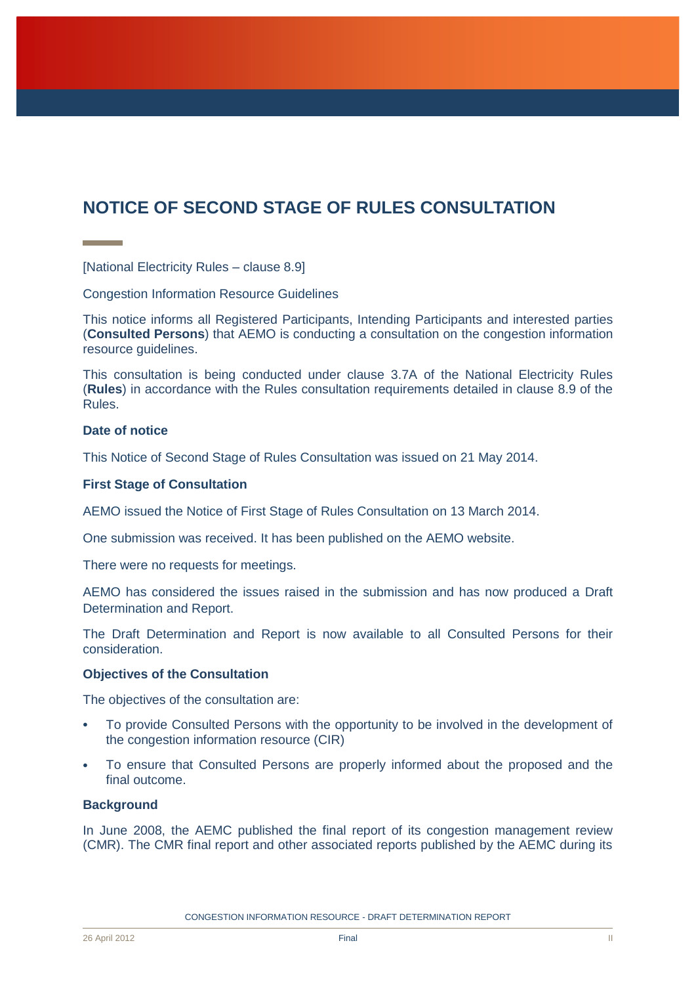# <span id="page-2-0"></span>**NOTICE OF SECOND STAGE OF RULES CONSULTATION**

[National Electricity Rules – clause 8.9]

Congestion Information Resource Guidelines

This notice informs all Registered Participants, Intending Participants and interested parties (**Consulted Persons**) that AEMO is conducting a consultation on the congestion information resource guidelines.

This consultation is being conducted under clause 3.7A of the National Electricity Rules (**Rules**) in accordance with the Rules consultation requirements detailed in clause 8.9 of the Rules.

#### **Date of notice**

This Notice of Second Stage of Rules Consultation was issued on 21 May 2014.

#### **First Stage of Consultation**

AEMO issued the Notice of First Stage of Rules Consultation on 13 March 2014.

One submission was received. It has been published on the AEMO website.

There were no requests for meetings.

AEMO has considered the issues raised in the submission and has now produced a Draft Determination and Report.

The Draft Determination and Report is now available to all Consulted Persons for their consideration.

#### **Objectives of the Consultation**

The objectives of the consultation are:

- To provide Consulted Persons with the opportunity to be involved in the development of the congestion information resource (CIR)
- To ensure that Consulted Persons are properly informed about the proposed and the final outcome.

#### **Background**

In June 2008, the AEMC published the final report of its congestion management review (CMR). The CMR final report and other associated reports published by the AEMC during its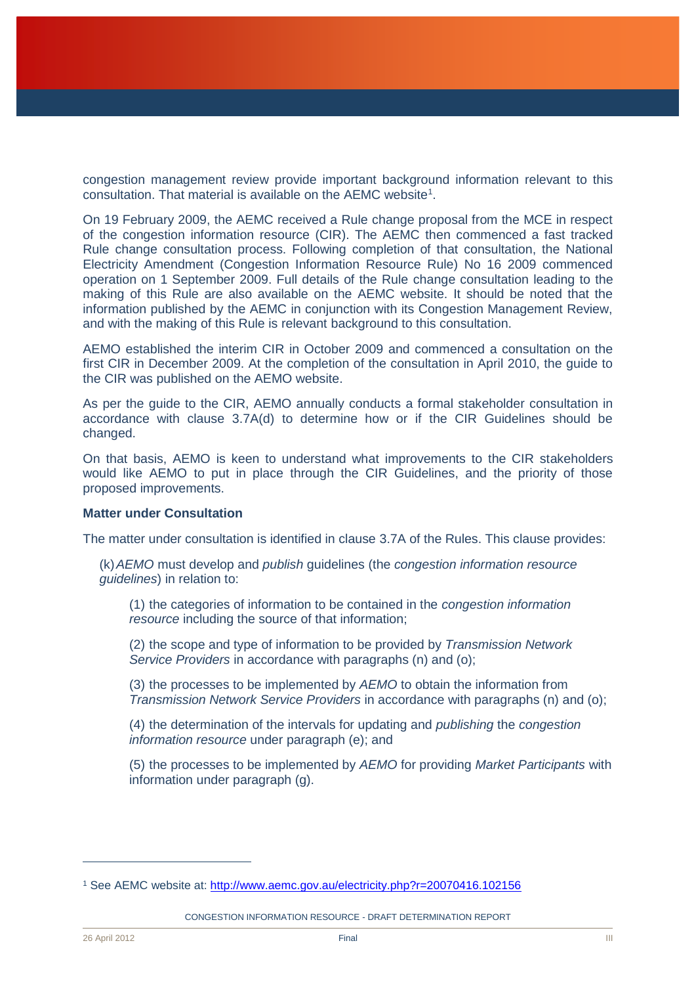congestion management review provide important background information relevant to this consultation. That material is available on the AEMC website<sup>1</sup>.

On 19 February 2009, the AEMC received a Rule change proposal from the MCE in respect of the congestion information resource (CIR). The AEMC then commenced a fast tracked Rule change consultation process. Following completion of that consultation, the National Electricity Amendment (Congestion Information Resource Rule) No 16 2009 commenced operation on 1 September 2009. Full details of the Rule change consultation leading to the making of this Rule are also available on the AEMC website. It should be noted that the information published by the AEMC in conjunction with its Congestion Management Review, and with the making of this Rule is relevant background to this consultation.

AEMO established the interim CIR in October 2009 and commenced a consultation on the first CIR in December 2009. At the completion of the consultation in April 2010, the guide to the CIR was published on the AEMO website.

As per the guide to the CIR, AEMO annually conducts a formal stakeholder consultation in accordance with clause 3.7A(d) to determine how or if the CIR Guidelines should be changed.

On that basis, AEMO is keen to understand what improvements to the CIR stakeholders would like AEMO to put in place through the CIR Guidelines, and the priority of those proposed improvements.

#### **Matter under Consultation**

The matter under consultation is identified in clause 3.7A of the Rules. This clause provides:

(k)*AEMO* must develop and *publish* guidelines (the *congestion information resource guidelines*) in relation to:

(1) the categories of information to be contained in the *congestion information resource* including the source of that information;

(2) the scope and type of information to be provided by *Transmission Network Service Providers* in accordance with paragraphs (n) and (o);

(3) the processes to be implemented by *AEMO* to obtain the information from *Transmission Network Service Providers* in accordance with paragraphs (n) and (o);

(4) the determination of the intervals for updating and *publishing* the *congestion information resource* under paragraph (e); and

(5) the processes to be implemented by *AEMO* for providing *Market Participants* with information under paragraph (g).

CONGESTION INFORMATION RESOURCE - DRAFT DETERMINATION REPORT

<sup>1</sup> See AEMC website at:<http://www.aemc.gov.au/electricity.php?r=20070416.102156>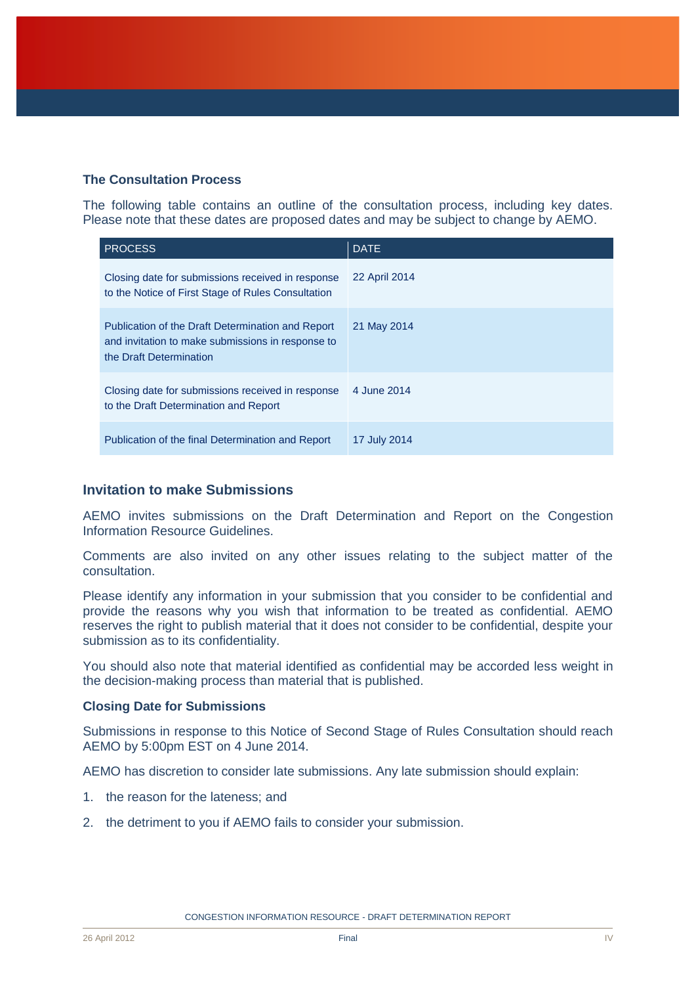### **The Consultation Process**

The following table contains an outline of the consultation process, including key dates. Please note that these dates are proposed dates and may be subject to change by AEMO.

| <b>PROCESS</b>                                                                                                                    | <b>DATE</b>   |
|-----------------------------------------------------------------------------------------------------------------------------------|---------------|
| Closing date for submissions received in response<br>to the Notice of First Stage of Rules Consultation                           | 22 April 2014 |
| Publication of the Draft Determination and Report<br>and invitation to make submissions in response to<br>the Draft Determination | 21 May 2014   |
| Closing date for submissions received in response<br>to the Draft Determination and Report                                        | 4 June 2014   |
| Publication of the final Determination and Report                                                                                 | 17 July 2014  |

### **Invitation to make Submissions**

AEMO invites submissions on the Draft Determination and Report on the Congestion Information Resource Guidelines.

Comments are also invited on any other issues relating to the subject matter of the consultation.

Please identify any information in your submission that you consider to be confidential and provide the reasons why you wish that information to be treated as confidential. AEMO reserves the right to publish material that it does not consider to be confidential, despite your submission as to its confidentiality.

You should also note that material identified as confidential may be accorded less weight in the decision-making process than material that is published.

#### **Closing Date for Submissions**

Submissions in response to this Notice of Second Stage of Rules Consultation should reach AEMO by 5:00pm EST on 4 June 2014.

AEMO has discretion to consider late submissions. Any late submission should explain:

- 1. the reason for the lateness; and
- 2. the detriment to you if AEMO fails to consider your submission.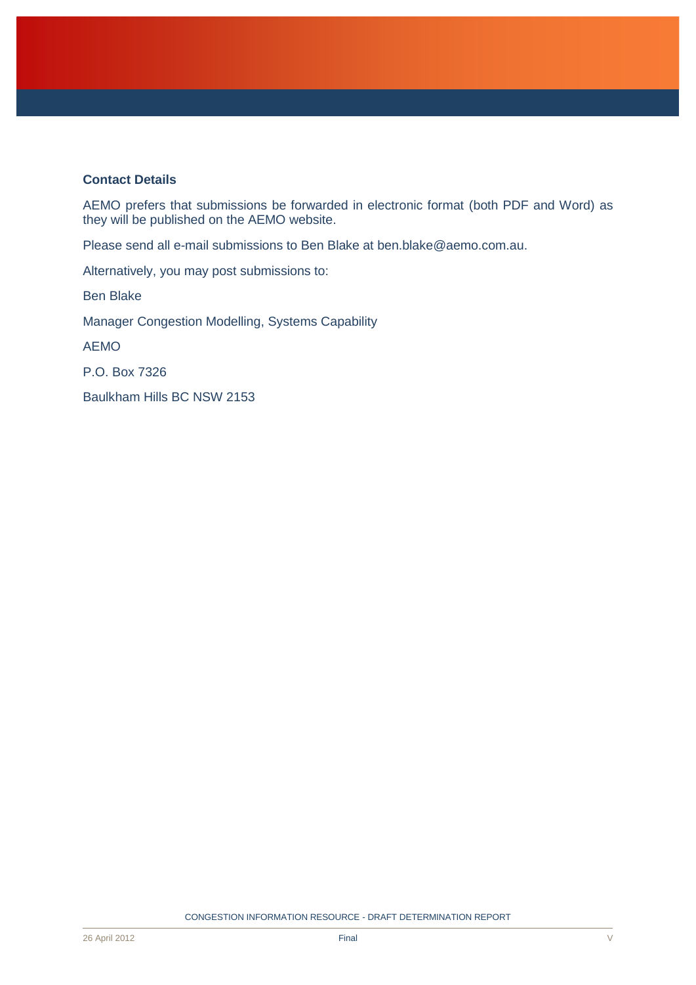#### **Contact Details**

AEMO prefers that submissions be forwarded in electronic format (both PDF and Word) as they will be published on the AEMO website.

Please send all e-mail submissions to Ben Blake at ben.blake@aemo.com.au.

Alternatively, you may post submissions to:

Ben Blake

Manager Congestion Modelling, Systems Capability

AEMO

P.O. Box 7326

Baulkham Hills BC NSW 2153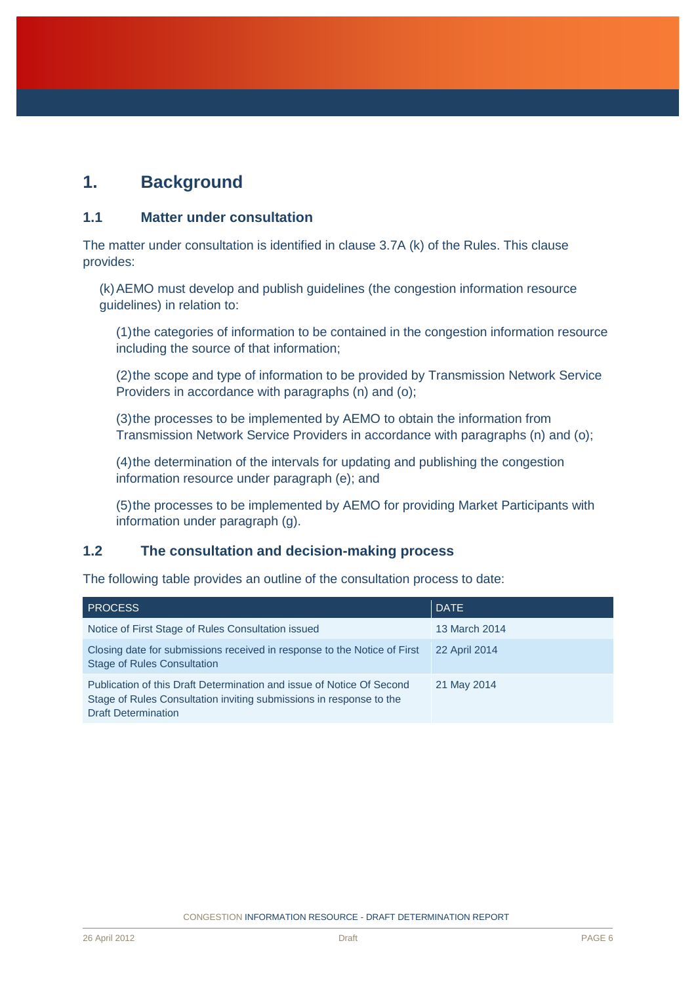# <span id="page-6-0"></span>**1. Background**

### <span id="page-6-1"></span>**1.1 Matter under consultation**

The matter under consultation is identified in clause 3.7A (k) of the Rules. This clause provides:

(k)AEMO must develop and publish guidelines (the congestion information resource guidelines) in relation to:

(1)the categories of information to be contained in the congestion information resource including the source of that information;

(2)the scope and type of information to be provided by Transmission Network Service Providers in accordance with paragraphs (n) and (o);

(3)the processes to be implemented by AEMO to obtain the information from Transmission Network Service Providers in accordance with paragraphs (n) and (o);

(4)the determination of the intervals for updating and publishing the congestion information resource under paragraph (e); and

(5)the processes to be implemented by AEMO for providing Market Participants with information under paragraph (g).

### <span id="page-6-2"></span>**1.2 The consultation and decision-making process**

The following table provides an outline of the consultation process to date:

| <b>PROCESS</b>                                                                                                                                                             | <b>DATE</b>   |
|----------------------------------------------------------------------------------------------------------------------------------------------------------------------------|---------------|
| Notice of First Stage of Rules Consultation issued                                                                                                                         | 13 March 2014 |
| Closing date for submissions received in response to the Notice of First<br><b>Stage of Rules Consultation</b>                                                             | 22 April 2014 |
| Publication of this Draft Determination and issue of Notice Of Second<br>Stage of Rules Consultation inviting submissions in response to the<br><b>Draft Determination</b> | 21 May 2014   |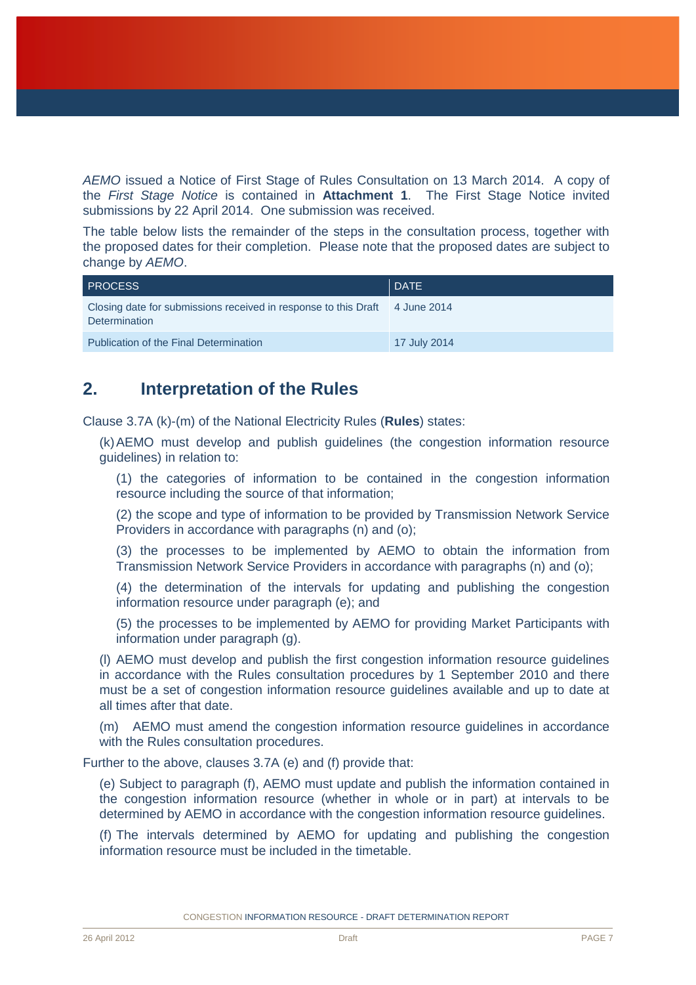*AEMO* issued a Notice of First Stage of Rules Consultation on 13 March 2014. A copy of the *First Stage Notice* is contained in **Attachment 1**. The First Stage Notice invited submissions by 22 April 2014. One submission was received.

The table below lists the remainder of the steps in the consultation process, together with the proposed dates for their completion. Please note that the proposed dates are subject to change by *AEMO*.

| <b>PROCESS</b>                                                                                      | <b>DATE</b>  |
|-----------------------------------------------------------------------------------------------------|--------------|
| Closing date for submissions received in response to this Draft 4 June 2014<br><b>Determination</b> |              |
| <b>Publication of the Final Determination</b>                                                       | 17 July 2014 |

### <span id="page-7-0"></span>**2. Interpretation of the Rules**

Clause 3.7A (k)-(m) of the National Electricity Rules (**Rules**) states:

(k)AEMO must develop and publish guidelines (the congestion information resource guidelines) in relation to:

(1) the categories of information to be contained in the congestion information resource including the source of that information;

(2) the scope and type of information to be provided by Transmission Network Service Providers in accordance with paragraphs (n) and (o);

(3) the processes to be implemented by AEMO to obtain the information from Transmission Network Service Providers in accordance with paragraphs (n) and (o);

(4) the determination of the intervals for updating and publishing the congestion information resource under paragraph (e); and

(5) the processes to be implemented by AEMO for providing Market Participants with information under paragraph (g).

(l) AEMO must develop and publish the first congestion information resource guidelines in accordance with the Rules consultation procedures by 1 September 2010 and there must be a set of congestion information resource guidelines available and up to date at all times after that date.

(m) AEMO must amend the congestion information resource guidelines in accordance with the Rules consultation procedures.

Further to the above, clauses 3.7A (e) and (f) provide that:

(e) Subject to paragraph (f), AEMO must update and publish the information contained in the congestion information resource (whether in whole or in part) at intervals to be determined by AEMO in accordance with the congestion information resource guidelines.

(f) The intervals determined by AEMO for updating and publishing the congestion information resource must be included in the timetable.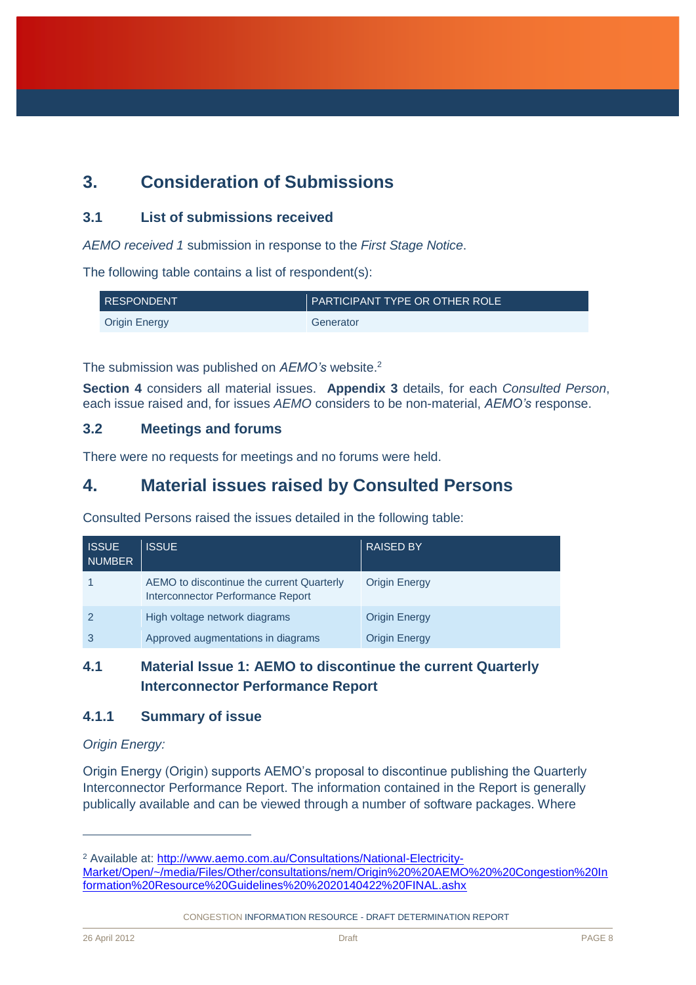# <span id="page-8-0"></span>**3. Consideration of Submissions**

### <span id="page-8-1"></span>**3.1 List of submissions received**

*AEMO received 1* submission in response to the *First Stage Notice*.

The following table contains a list of respondent(s):

| <b>RESPONDENT</b>    | <b>PARTICIPANT TYPE OR OTHER ROLE</b> |
|----------------------|---------------------------------------|
| <b>Origin Energy</b> | Generator                             |

The submission was published on *AEMO's* website.<sup>2</sup>

**Section 4** considers all material issues. **Appendix 3** details, for each *Consulted Person*, each issue raised and, for issues *AEMO* considers to be non-material, *AEMO's* response.

### <span id="page-8-2"></span>**3.2 Meetings and forums**

There were no requests for meetings and no forums were held.

### <span id="page-8-3"></span>**4. Material issues raised by Consulted Persons**

Consulted Persons raised the issues detailed in the following table:

| <b>ISSUE</b><br><b>NUMBER</b> | <b>ISSUE</b>                                                                   | <b>RAISED BY</b>     |
|-------------------------------|--------------------------------------------------------------------------------|----------------------|
|                               | AEMO to discontinue the current Quarterly<br>Interconnector Performance Report | <b>Origin Energy</b> |
|                               | High voltage network diagrams                                                  | <b>Origin Energy</b> |
|                               | Approved augmentations in diagrams                                             | <b>Origin Energy</b> |

### <span id="page-8-4"></span>**4.1 Material Issue 1: AEMO to discontinue the current Quarterly Interconnector Performance Report**

### <span id="page-8-5"></span>**4.1.1 Summary of issue**

### *Origin Energy:*

Origin Energy (Origin) supports AEMO's proposal to discontinue publishing the Quarterly Interconnector Performance Report. The information contained in the Report is generally publically available and can be viewed through a number of software packages. Where

CONGESTION INFORMATION RESOURCE - DRAFT DETERMINATION REPORT

<sup>&</sup>lt;sup>2</sup> Available at: [http://www.aemo.com.au/Consultations/National-Electricity-](http://www.aemo.com.au/Consultations/National-Electricity-Market/Open/~/media/Files/Other/consultations/nem/Origin%20%20AEMO%20%20Congestion%20Information%20Resource%20Guidelines%20%2020140422%20FINAL.ashx)[Market/Open/~/media/Files/Other/consultations/nem/Origin%20%20AEMO%20%20Congestion%20In](http://www.aemo.com.au/Consultations/National-Electricity-Market/Open/~/media/Files/Other/consultations/nem/Origin%20%20AEMO%20%20Congestion%20Information%20Resource%20Guidelines%20%2020140422%20FINAL.ashx) [formation%20Resource%20Guidelines%20%2020140422%20FINAL.ashx](http://www.aemo.com.au/Consultations/National-Electricity-Market/Open/~/media/Files/Other/consultations/nem/Origin%20%20AEMO%20%20Congestion%20Information%20Resource%20Guidelines%20%2020140422%20FINAL.ashx)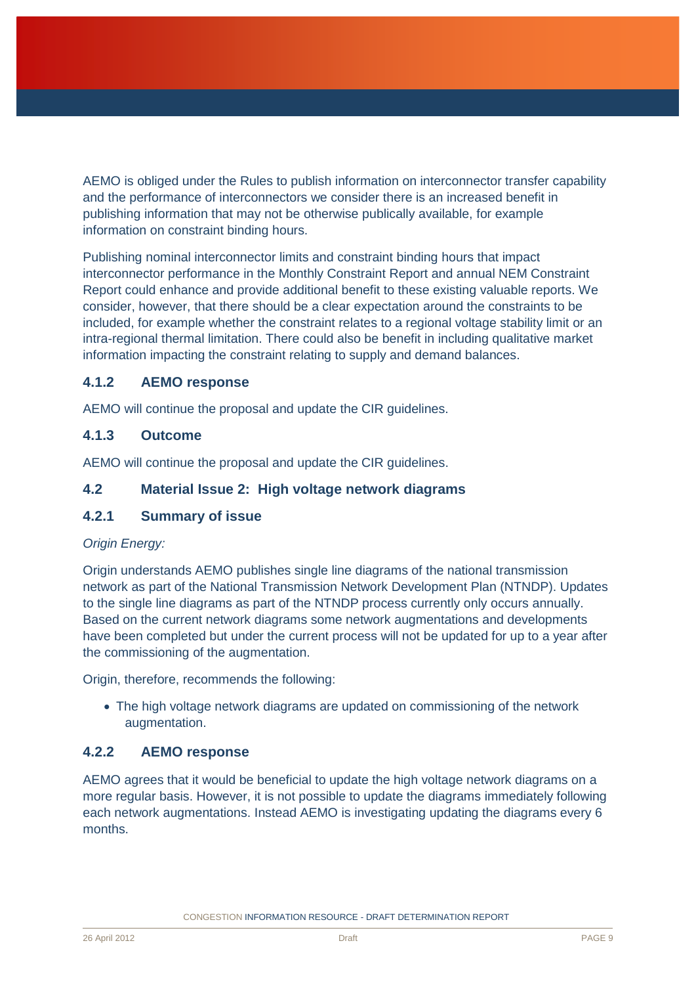AEMO is obliged under the Rules to publish information on interconnector transfer capability and the performance of interconnectors we consider there is an increased benefit in publishing information that may not be otherwise publically available, for example information on constraint binding hours.

Publishing nominal interconnector limits and constraint binding hours that impact interconnector performance in the Monthly Constraint Report and annual NEM Constraint Report could enhance and provide additional benefit to these existing valuable reports. We consider, however, that there should be a clear expectation around the constraints to be included, for example whether the constraint relates to a regional voltage stability limit or an intra-regional thermal limitation. There could also be benefit in including qualitative market information impacting the constraint relating to supply and demand balances.

### <span id="page-9-0"></span>**4.1.2 AEMO response**

AEMO will continue the proposal and update the CIR guidelines.

### <span id="page-9-1"></span>**4.1.3 Outcome**

AEMO will continue the proposal and update the CIR guidelines.

### <span id="page-9-2"></span>**4.2 Material Issue 2: High voltage network diagrams**

### <span id="page-9-3"></span>**4.2.1 Summary of issue**

### *Origin Energy:*

Origin understands AEMO publishes single line diagrams of the national transmission network as part of the National Transmission Network Development Plan (NTNDP). Updates to the single line diagrams as part of the NTNDP process currently only occurs annually. Based on the current network diagrams some network augmentations and developments have been completed but under the current process will not be updated for up to a year after the commissioning of the augmentation.

Origin, therefore, recommends the following:

• The high voltage network diagrams are updated on commissioning of the network augmentation.

### <span id="page-9-4"></span>**4.2.2 AEMO response**

AEMO agrees that it would be beneficial to update the high voltage network diagrams on a more regular basis. However, it is not possible to update the diagrams immediately following each network augmentations. Instead AEMO is investigating updating the diagrams every 6 months.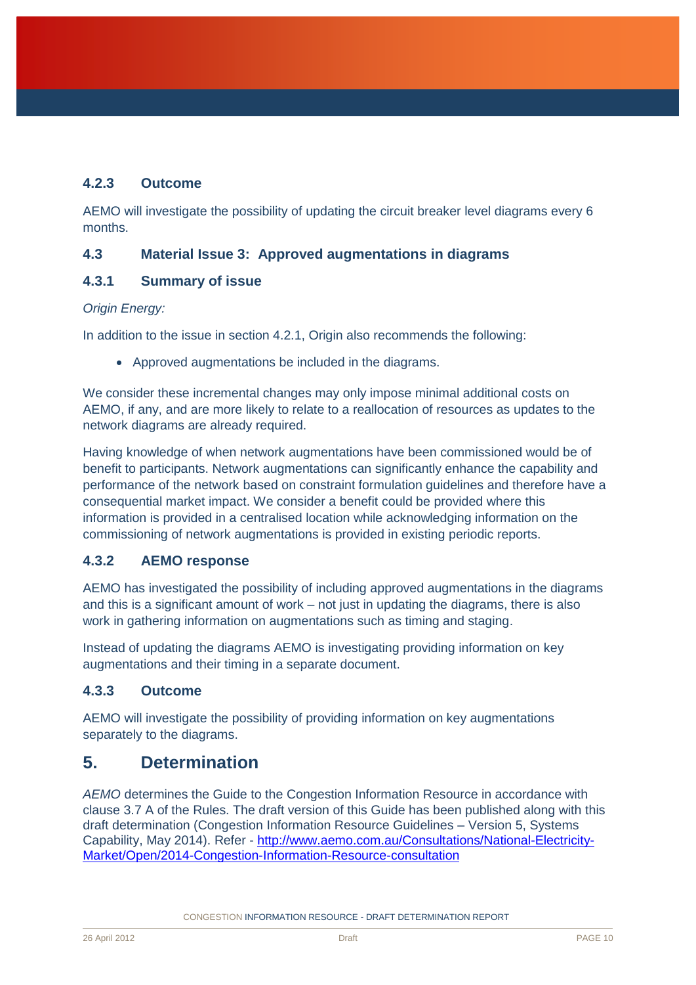### <span id="page-10-0"></span>**4.2.3 Outcome**

AEMO will investigate the possibility of updating the circuit breaker level diagrams every 6 months.

### **4.3 Material Issue 3: Approved augmentations in diagrams**

### **4.3.1 Summary of issue**

### *Origin Energy:*

In addition to the issue in section 4.2.1, Origin also recommends the following:

Approved augmentations be included in the diagrams.

We consider these incremental changes may only impose minimal additional costs on AEMO, if any, and are more likely to relate to a reallocation of resources as updates to the network diagrams are already required.

Having knowledge of when network augmentations have been commissioned would be of benefit to participants. Network augmentations can significantly enhance the capability and performance of the network based on constraint formulation guidelines and therefore have a consequential market impact. We consider a benefit could be provided where this information is provided in a centralised location while acknowledging information on the commissioning of network augmentations is provided in existing periodic reports.

### **4.3.2 AEMO response**

AEMO has investigated the possibility of including approved augmentations in the diagrams and this is a significant amount of work – not just in updating the diagrams, there is also work in gathering information on augmentations such as timing and staging.

Instead of updating the diagrams AEMO is investigating providing information on key augmentations and their timing in a separate document.

### **4.3.3 Outcome**

AEMO will investigate the possibility of providing information on key augmentations separately to the diagrams.

## <span id="page-10-1"></span>**5. Determination**

*AEMO* determines the Guide to the Congestion Information Resource in accordance with clause 3.7 A of the Rules. The draft version of this Guide has been published along with this draft determination (Congestion Information Resource Guidelines – Version 5, Systems Capability, May 2014). Refer - [http://www.aemo.com.au/Consultations/National-Electricity-](http://www.aemo.com.au/Consultations/National-Electricity-Market/Open/2014-Congestion-Information-Resource-consultation)[Market/Open/2014-Congestion-Information-Resource-consultation](http://www.aemo.com.au/Consultations/National-Electricity-Market/Open/2014-Congestion-Information-Resource-consultation)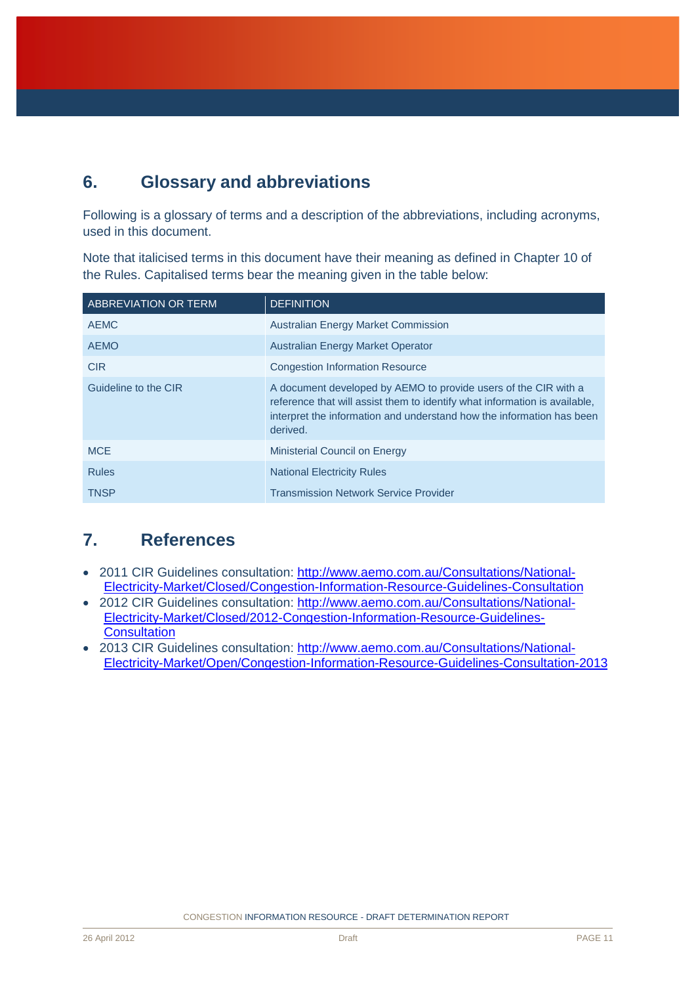# <span id="page-11-0"></span>**6. Glossary and abbreviations**

Following is a glossary of terms and a description of the abbreviations, including acronyms, used in this document.

Note that italicised terms in this document have their meaning as defined in Chapter 10 of the Rules. Capitalised terms bear the meaning given in the table below:

| <b>ABBREVIATION OR TERM</b> | <b>DEFINITION</b>                                                                                                                                                                                                                  |
|-----------------------------|------------------------------------------------------------------------------------------------------------------------------------------------------------------------------------------------------------------------------------|
| <b>AEMC</b>                 | <b>Australian Energy Market Commission</b>                                                                                                                                                                                         |
| <b>AEMO</b>                 | <b>Australian Energy Market Operator</b>                                                                                                                                                                                           |
| <b>CIR</b>                  | <b>Congestion Information Resource</b>                                                                                                                                                                                             |
| Guideline to the CIR        | A document developed by AEMO to provide users of the CIR with a<br>reference that will assist them to identify what information is available.<br>interpret the information and understand how the information has been<br>derived. |
| <b>MCE</b>                  | Ministerial Council on Energy                                                                                                                                                                                                      |
| <b>Rules</b>                | <b>National Electricity Rules</b>                                                                                                                                                                                                  |
| <b>TNSP</b>                 | <b>Transmission Network Service Provider</b>                                                                                                                                                                                       |

# <span id="page-11-1"></span>**7. References**

- 2011 CIR Guidelines consultation: [http://www.aemo.com.au/Consultations/National-](http://www.aemo.com.au/Consultations/National-Electricity-Market/Closed/Congestion-Information-Resource-Guidelines-Consultation)[Electricity-Market/Closed/Congestion-Information-Resource-Guidelines-Consultation](http://www.aemo.com.au/Consultations/National-Electricity-Market/Closed/Congestion-Information-Resource-Guidelines-Consultation)
- 2012 CIR Guidelines consultation: [http://www.aemo.com.au/Consultations/National-](http://www.aemo.com.au/Consultations/National-Electricity-Market/Closed/2012-Congestion-Information-Resource-Guidelines-Consultation)[Electricity-Market/Closed/2012-Congestion-Information-Resource-Guidelines-](http://www.aemo.com.au/Consultations/National-Electricity-Market/Closed/2012-Congestion-Information-Resource-Guidelines-Consultation)**[Consultation](http://www.aemo.com.au/Consultations/National-Electricity-Market/Closed/2012-Congestion-Information-Resource-Guidelines-Consultation)**
- 2013 CIR Guidelines consultation: [http://www.aemo.com.au/Consultations/National-](http://www.aemo.com.au/Consultations/National-Electricity-Market/Open/Congestion-Information-Resource-Guidelines-Consultation-2013)[Electricity-Market/Open/Congestion-Information-Resource-Guidelines-Consultation-2013](http://www.aemo.com.au/Consultations/National-Electricity-Market/Open/Congestion-Information-Resource-Guidelines-Consultation-2013)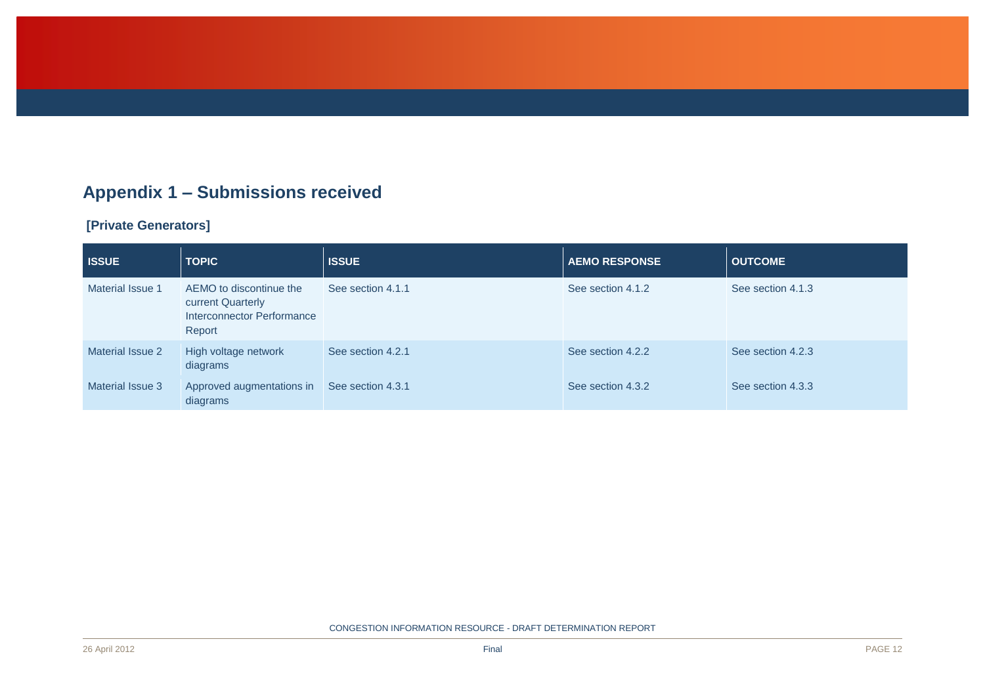# **Appendix 1 – Submissions received**

### **[Private Generators]**

<span id="page-12-0"></span>

| <b>ISSUE</b>     | <b>TOPIC</b>                                                                         | <b>ISSUE</b>      | <b>AEMO RESPONSE</b> | <b>OUTCOME</b>    |
|------------------|--------------------------------------------------------------------------------------|-------------------|----------------------|-------------------|
| Material Issue 1 | AEMO to discontinue the<br>current Quarterly<br>Interconnector Performance<br>Report | See section 4.1.1 | See section 4.1.2    | See section 4.1.3 |
| Material Issue 2 | High voltage network<br>diagrams                                                     | See section 4.2.1 | See section 4.2.2    | See section 4.2.3 |
| Material Issue 3 | Approved augmentations in<br>diagrams                                                | See section 4.3.1 | See section 4.3.2    | See section 4.3.3 |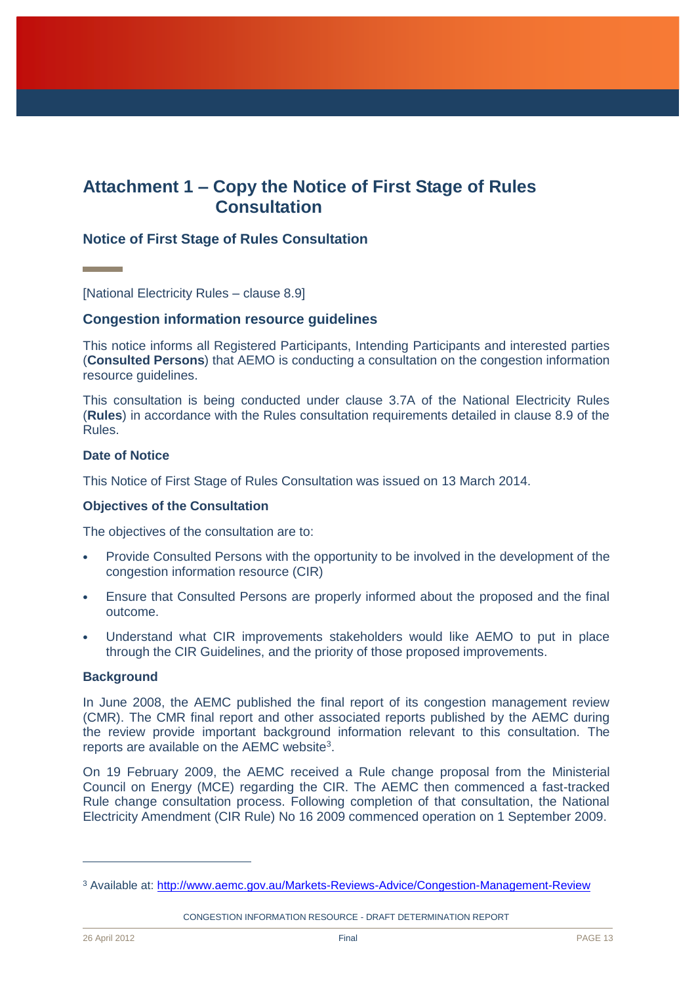## <span id="page-13-0"></span>**Attachment 1 – Copy the Notice of First Stage of Rules Consultation**

### **Notice of First Stage of Rules Consultation**

[National Electricity Rules – clause 8.9]

### **Congestion information resource guidelines**

This notice informs all Registered Participants, Intending Participants and interested parties (**Consulted Persons**) that AEMO is conducting a consultation on the congestion information resource guidelines.

This consultation is being conducted under clause 3.7A of the National Electricity Rules (**Rules**) in accordance with the Rules consultation requirements detailed in clause 8.9 of the Rules.

#### **Date of Notice**

This Notice of First Stage of Rules Consultation was issued on 13 March 2014.

#### **Objectives of the Consultation**

The objectives of the consultation are to:

- Provide Consulted Persons with the opportunity to be involved in the development of the congestion information resource (CIR)
- Ensure that Consulted Persons are properly informed about the proposed and the final outcome.
- Understand what CIR improvements stakeholders would like AEMO to put in place through the CIR Guidelines, and the priority of those proposed improvements.

#### **Background**

In June 2008, the AEMC published the final report of its congestion management review (CMR). The CMR final report and other associated reports published by the AEMC during the review provide important background information relevant to this consultation. The reports are available on the  $AEMC$  website<sup>3</sup>.

On 19 February 2009, the AEMC received a Rule change proposal from the Ministerial Council on Energy (MCE) regarding the CIR. The AEMC then commenced a fast-tracked Rule change consultation process. Following completion of that consultation, the National Electricity Amendment (CIR Rule) No 16 2009 commenced operation on 1 September 2009.

CONGESTION INFORMATION RESOURCE - DRAFT DETERMINATION REPORT

<sup>3</sup> Available at:<http://www.aemc.gov.au/Markets-Reviews-Advice/Congestion-Management-Review>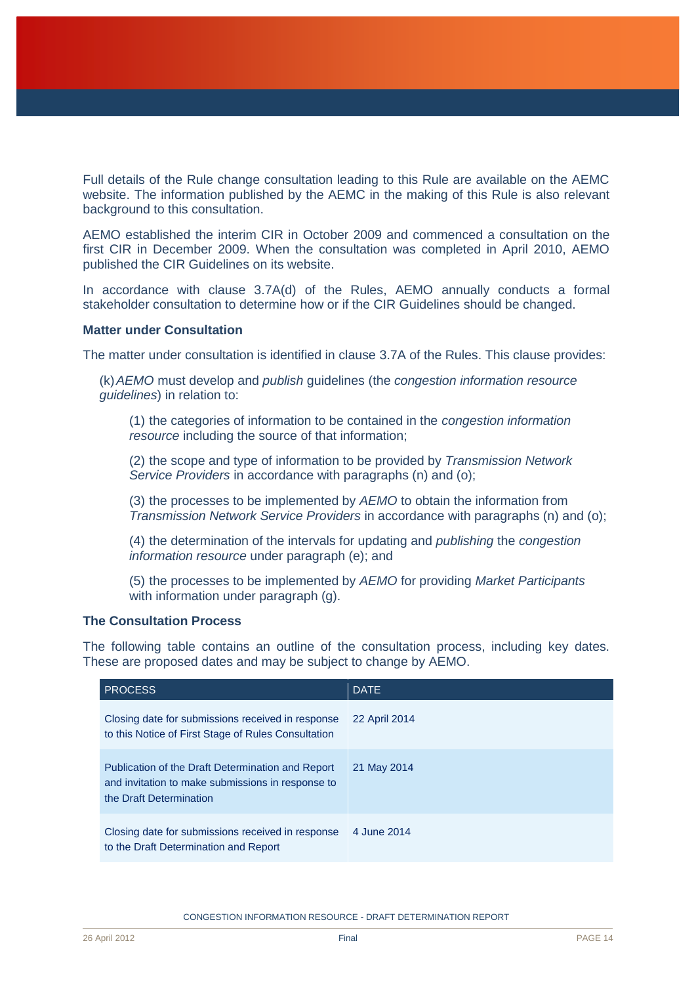Full details of the Rule change consultation leading to this Rule are available on the AEMC website. The information published by the AEMC in the making of this Rule is also relevant background to this consultation.

AEMO established the interim CIR in October 2009 and commenced a consultation on the first CIR in December 2009. When the consultation was completed in April 2010, AEMO published the CIR Guidelines on its website.

In accordance with clause 3.7A(d) of the Rules, AEMO annually conducts a formal stakeholder consultation to determine how or if the CIR Guidelines should be changed.

### **Matter under Consultation**

The matter under consultation is identified in clause 3.7A of the Rules. This clause provides:

(k)*AEMO* must develop and *publish* guidelines (the *congestion information resource guidelines*) in relation to:

(1) the categories of information to be contained in the *congestion information resource* including the source of that information;

(2) the scope and type of information to be provided by *Transmission Network Service Providers* in accordance with paragraphs (n) and (o);

(3) the processes to be implemented by *AEMO* to obtain the information from *Transmission Network Service Providers* in accordance with paragraphs (n) and (o);

(4) the determination of the intervals for updating and *publishing* the *congestion information resource* under paragraph (e); and

(5) the processes to be implemented by *AEMO* for providing *Market Participants*  with information under paragraph (g).

#### **The Consultation Process**

The following table contains an outline of the consultation process, including key dates. These are proposed dates and may be subject to change by AEMO.

| <b>PROCESS</b>                                                                                                                    | <b>DATE</b>   |
|-----------------------------------------------------------------------------------------------------------------------------------|---------------|
| Closing date for submissions received in response<br>to this Notice of First Stage of Rules Consultation                          | 22 April 2014 |
| Publication of the Draft Determination and Report<br>and invitation to make submissions in response to<br>the Draft Determination | 21 May 2014   |
| Closing date for submissions received in response<br>to the Draft Determination and Report                                        | 4 June 2014   |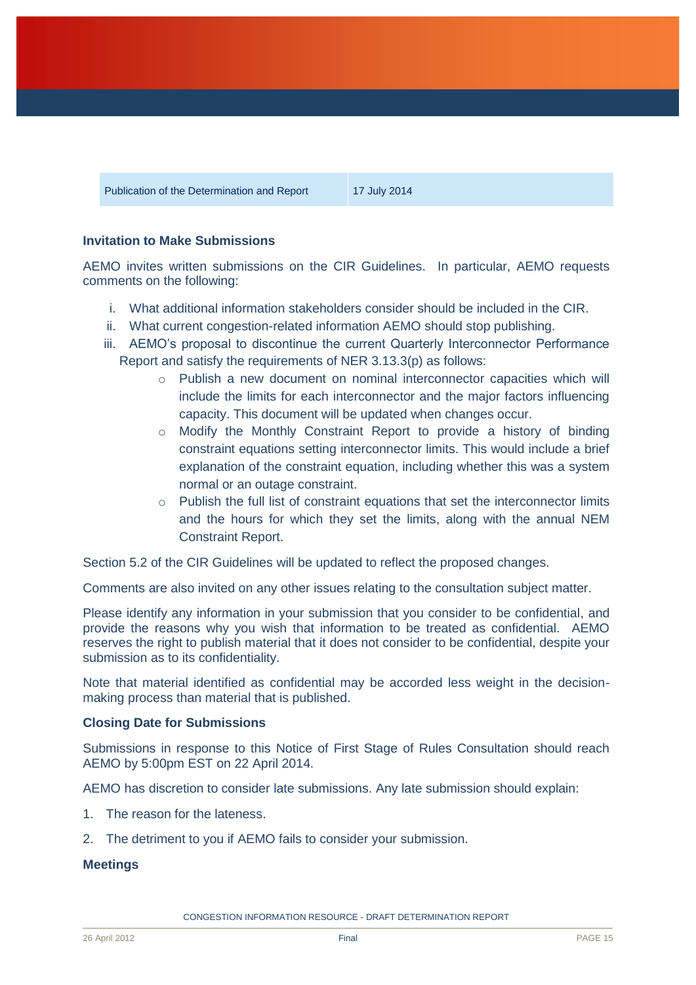Publication of the Determination and Report 17 July 2014

### **Invitation to Make Submissions**

AEMO invites written submissions on the CIR Guidelines. In particular, AEMO requests comments on the following:

- i. What additional information stakeholders consider should be included in the CIR.
- ii. What current congestion-related information AEMO should stop publishing.
- iii. AEMO's proposal to discontinue the current Quarterly Interconnector Performance Report and satisfy the requirements of NER 3.13.3(p) as follows:
	- o Publish a new document on nominal interconnector capacities which will include the limits for each interconnector and the major factors influencing capacity. This document will be updated when changes occur.
	- $\circ$  Modify the Monthly Constraint Report to provide a history of binding constraint equations setting interconnector limits. This would include a brief explanation of the constraint equation, including whether this was a system normal or an outage constraint.
	- $\circ$  Publish the full list of constraint equations that set the interconnector limits and the hours for which they set the limits, along with the annual NEM Constraint Report.

Section 5.2 of the CIR Guidelines will be updated to reflect the proposed changes.

Comments are also invited on any other issues relating to the consultation subject matter.

Please identify any information in your submission that you consider to be confidential, and provide the reasons why you wish that information to be treated as confidential. AEMO reserves the right to publish material that it does not consider to be confidential, despite your submission as to its confidentiality.

Note that material identified as confidential may be accorded less weight in the decisionmaking process than material that is published.

#### **Closing Date for Submissions**

Submissions in response to this Notice of First Stage of Rules Consultation should reach AEMO by 5:00pm EST on 22 April 2014.

AEMO has discretion to consider late submissions. Any late submission should explain:

- 1. The reason for the lateness.
- 2. The detriment to you if AEMO fails to consider your submission.

#### **Meetings**